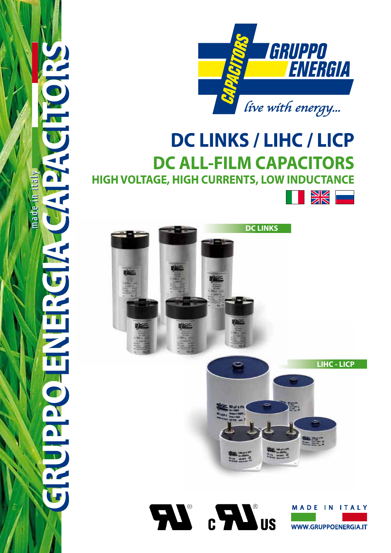



# **DC LINKS / LIHC / LICP DC ALL-FILM CAPACITORS HIGH VOLTAGE, HIGH CURRENTS, LOW INDUCTANCE SK Land**





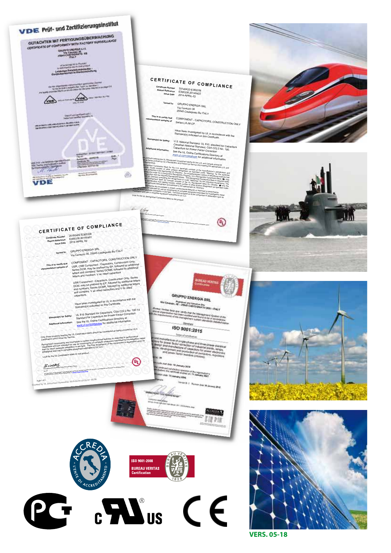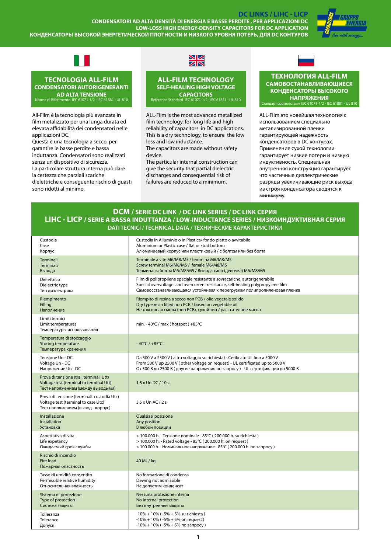**DC LINKS / LIHC - LICP CONDENSATORI AD ALTA DENSITÀ DI ENERGIA E BASSE PERDITE , PER APPLICAZIONI DC LOW-LOSS HIGH ENERGY-DENSITY CAPACITORS FOR DC APPLICATION КОНДЕНСАТОРЫ ВЫСОКОЙ ЭНЕРГЕТИЧЕСКОЙ ПЛОТНОСТИ И НИЗКОГО УРОВНЯ ПОТЕРЬ, ДЛЯ DC КОНТУРОВ**





### **TECNOLOGIA ALL-FILM CONDENSATORI AUTORIGENERANTI AD ALTA TENSIONE** Norme di Riferimento IEC 61071-1/2 - IEC 61881 - UL 810

All-Film è la tecnologia più avanzata in film metalizzato per una lunga durata ed elevata affidabilità dei condensatori nelle applicazioni DC.

Questa è una tecnologia a secco, per garantire le basse perdite e bassa induttanza. Condensatori sono realizzati senza un dispositivo di sicurezza. La particolare struttura interna può dare la certezza che parziali scariche dielettriche e conseguente rischio di guasti sono ridotti al minimo.



### **ALL-FILM TECHNOLOGY SELF-HEALING HIGH VOLTAGE CAPACITORS** Reference Standard IEC 61071-1/2 - IEC 61881 - UL 810

ALL-Film is the most advanced metallized film technology, for long life and high reliability of capacitors in DC applications. This is a dry technology, to ensure the low loss and low inductance.

The capacitors are made without safety device.

The particular internal construction can give the security that partial dielectric discharges and consequential risk of failures are reduced to a minimum.

### **ТЕХНОЛОГИЯ ALL-FILM САМОВОСТАНАВЛИВАЮЩИЕСЯ КОНДЕНСАТОРЫ ВЫСОКОГО НАПРЯЖЕНИЯ** Стандарт соответствия IEC 61071-1/2 - IEC 61881 - UL 810

ALL-Film это новейшая технология с использованием специально метализированной пленки гарантирующей надежность конденсаторов в DC контурах. Применение сухой технологии гарантирует низкие потери и низкую индуктивность. Специальная внутренняя конструкция гарантирует что частичные диэлектрические разряды увеличивающие риск выхода из строя конденсатора сводятся к минимуму.

### **DCM / SERIE DC LINK / DC LINK SERIES / DC LINK СЕРИЯ LIHC - LICP / SERIE A BASSA INDUTTANZA / LOW-INDUCTANCE SERIES / НИЗКОИНДУКТИВНAЯ СЕРИЯ DATI TECNICI / TECHNICAL DATA / ТЕХНИЧЕСКИЕ ХАРАКТЕРИСТИКИ**

| Custodia<br>Case                                                                                                        | Custodia in Alluminio o in Plastica/ fondo piatto o avvitabile<br>Aluminium or Plastic case / flat or stud bottom                                                                                                                                 |
|-------------------------------------------------------------------------------------------------------------------------|---------------------------------------------------------------------------------------------------------------------------------------------------------------------------------------------------------------------------------------------------|
| Корпус<br>Terminali<br><b>Terminals</b><br>Вывода                                                                       | Алюминиевый корпус или пластиковый / с болтом или без болта<br>Terminale a vite M6/M8/M5 / femmina M6/M8/M5<br>Screw terminal M6/M8/M5 / female M6/M8/M5<br>Терминалы болты М6/М8/М5 / Вывода типо (девочка) М6/М8/М5                             |
| Dielettrico<br>Dielectric type<br>Тип диэлектрика                                                                       | Film di polipropilene speciale resistente a sovracariche, autorigenerabile<br>Special overvoltage and overcurrent resistance, self-healing polypropylene film<br>Самовосстанавливающаяся устойчивая к перегрузкам полипропиленовая пленка         |
| Riempimento<br>Filling<br>Наполнение                                                                                    | Riempito di resina a secco non PCB / olio vegetale solido<br>Dry type resin filled non PCB / based on vegetable oil<br>Не токсичная смола (non PCB), сухой тип / расстителное масло                                                               |
| Limiti termici<br>Limit temperatures<br>Температуры использования                                                       | min. - $40^{\circ}$ C / max (hotspot) +85 $^{\circ}$ C                                                                                                                                                                                            |
| Temperatura di stoccaggio<br>Storing temperature<br>Температура хранения                                                | $-40^{\circ}$ C / $+85^{\circ}$ C                                                                                                                                                                                                                 |
| Tensione Un - DC<br>Voltage Un - DC<br>Напряжение Un - DC                                                               | Da 500 V a 2500 V (altro voltaggio su richiesta) - Cerificato UL fino a 5000 V<br>From 500 V up 2500 V (other voltage on request) - UL certificated up to 5000 V<br>От 500 В до 2500 В (другие напряжения по запросу) - UL сертификация до 5000 В |
| Prova di tensione (tra i terminali Utt)<br>Voltage test (terminal to terminal Utt)<br>Тест напряжением (между выводыми) | 1,5 x Un DC / 10 s.                                                                                                                                                                                                                               |
| Prova di tensione (terminali-custodia Utc)<br>Voltage test (terminal to case Utc)<br>Тест напряжением (вывод - корпус)  | 3.5 x Un AC / 2 s.                                                                                                                                                                                                                                |
| Installazione<br>Installation<br><b>Установка</b>                                                                       | Qualsiasi posizione<br>Any position<br>В любой позиции                                                                                                                                                                                            |
| Aspettativa di vita<br>Life expetancy<br>Ожидаемый срок службы                                                          | > 100.000 h. - Tensione nominale - 85°C (200.000 h. su richiesta)<br>> 100.000 h. - Rated voltage - 85°C (200.000 h. on request)<br>> 100.000 h. - Номинальное напряжение - 85°С (200.000 h. по запросу)                                          |
| Rischio di incendio<br><b>Fire load</b><br>Пожарная опастность                                                          | 40 MJ / kg.                                                                                                                                                                                                                                       |
| Tasso di umidità consentito<br>Permissible relative humidity<br>Относительная влажность                                 | No formazione di condensa<br>Dewing not admissible<br>Не допустим конденсат                                                                                                                                                                       |
| Sistema di protezione<br>Type of protection<br>Система защиты                                                           | Nessuna protezione interna<br>No internal protection<br>Без внутренней защиты                                                                                                                                                                     |
| Tolleranza<br>Tolerance<br>Допуск                                                                                       | $-10\% + 10\%$ ( $-5\% + 5\%$ su richiesta)<br>$-10\% + 10\%$ ( $-5\% + 5\%$ on request)<br>$-10\% + 10\%$ ( $-5\% + 5\%$ по запросу)                                                                                                             |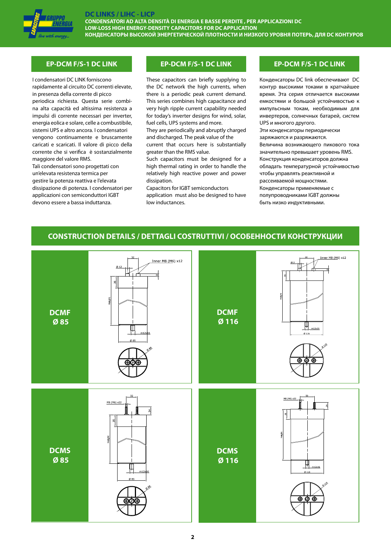

**CONDENSATORI AD ALTA DENSITÀ DI ENERGIA E BASSE PERDITE , PER APPLICAZIONI DC LOW-LOSS HIGH ENERGY-DENSITY CAPACITORS FOR DC APPLICATION КОНДЕНСАТОРЫ ВЫСОКОЙ ЭНЕРГЕТИЧЕСКОЙ ПЛОТНОСТИ И НИЗКОГО УРОВНЯ ПОТЕРЬ, ДЛЯ DC КОНТУРОВ**

I condensatori DC LINK forniscono rapidamente al circuito DC correnti elevate, in presenza della corrente di picco periodica richiesta. Questa serie combina alta capacità ed altissima resistenza a impulsi di corrente necessari per inverter, energia eolica e solare, celle a combustibile, sistemi UPS e altro ancora. I condensatori vengono continuamente e bruscamente caricati e scaricati. Il valore di picco della corrente che si verifica è sostanzialmente maggiore del valore RMS.

Tali condensatori sono progettati con un'elevata resistenza termica per gestire la potenza reattiva e l'elevata dissipazione di potenza. I condensatori per applicazioni con semiconduttori IGBT devono essere a bassa induttanza.

### **EP-DCM F/S-1 DC LINK EP-DCM F/S-1 DC LINK EP-DCM F/S-1 DC LINK**

These capacitors can briefly supplying to the DC network the high currents, when there is a periodic peak current demand. This series combines high capacitance and very high ripple current capability needed for today's inverter designs for wind, solar, fuel cells, UPS systems and more.

They are periodically and abruptly charged and discharged. The peak value of the

current that occurs here is substantially greater than the RMS value.

Such capacitors must be designed for a high thermal rating in order to handle the relatively high reactive power and power dissipation.

Capacitors for IGBT semiconductors application must also be designed to have low inductances.

Конденсаторы DC link обеспечивают DC контур высокими токами в кратчайшее время. Эта серия отличается высокими емкостями и большой устойчивостью к импульсным токам, необходимым для инвертеров, солнечных батарей, систем UPS и многого другого.

Эти конденсаторы периодически заряжаются и разряжаются.

Величина возникающего пикового тока значительно превышает уровень RMS. Конструкция конденсаторов должна обладать температурной устойчивостью чтобы управлять реактивной и рассеиваемой мощностями. Конденсаторы применяемые с полупроводниками IGBT должны

быть низко индуктивными.

# **CONSTRUCTION DETAILS / DETTAGLI COSTRUTTIVI / ОСОБЕННОСТИ КОНСТРУКЦИИ**

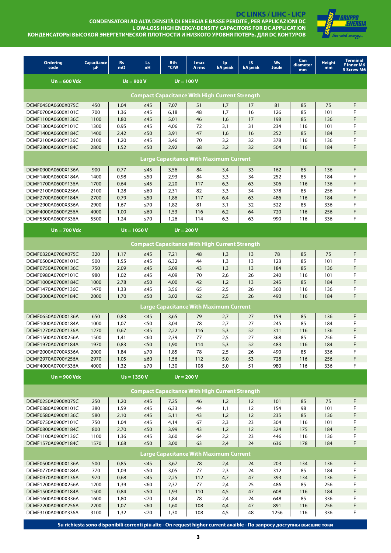

DC LINKS / LIHC - LICP<br>CONDENSATORI AD ALTA DENSITÀ DI ENERGIA E BASSE PERDITE , PER APPLICAZIONI DC<br>L OW-LOSS HIGH ENERGY-DENSITY CAPACITORS FOR DC APPLICATION КОНДЕНСАТОРЫ ВЫСОКОЙ ЭНЕРГЕТИЧЕСКОЙ ПЛОТНОСТИ И НИЗКОГО УРОВНЯ ПОТЕРЬ, ДЛЯ DC КОНТУРОВ

| <b>Ordering</b><br>code                  | <b>Capacitance</b><br>μF | <b>Rs</b><br>$m\Omega$ | Ls:<br>nH              | <b>Rth</b><br>°C/W                                    | <b>I</b> max<br>A rms | lp.<br>kA peak | IS.<br>kA peak                                        | Ws<br><b>Joule</b> | Can<br>diameter<br>mm | <b>Height</b><br>mm | <b>Terminal</b><br><b>F</b> Inner M6<br><b>S Screw M6</b> |  |  |  |  |
|------------------------------------------|--------------------------|------------------------|------------------------|-------------------------------------------------------|-----------------------|----------------|-------------------------------------------------------|--------------------|-----------------------|---------------------|-----------------------------------------------------------|--|--|--|--|
| $Un = 600$ Vdc                           |                          |                        | $Us = 900 V$           |                                                       | $Ur = 100 V$          |                |                                                       |                    |                       |                     |                                                           |  |  |  |  |
|                                          |                          |                        |                        |                                                       |                       |                | <b>Compact Capacitance With High Current Strength</b> |                    |                       |                     |                                                           |  |  |  |  |
| DCMF0450A0600X075C                       | 450                      | 1,04                   | $\leq 45$              | 7,07                                                  | 51                    | 1,7            | 17                                                    | 81                 | 85                    | 75                  | F                                                         |  |  |  |  |
| DCMF0700A0600X101C                       | 700                      | 1,36                   | $\leq 45$              | 6,18                                                  | 48                    | 1,7            | 16                                                    | 126                | 85                    | 101                 | F                                                         |  |  |  |  |
| DCMF1100A0600X136C                       | 1100                     | 1,80                   | $\leq45$               | 5,01                                                  | 46                    | 1,6            | 17                                                    | 198                | 85                    | 136                 | F                                                         |  |  |  |  |
| DCMF1300A0600Y101C                       | 1300                     | 0,95                   | ≤45                    | 4,06                                                  | 72                    | 3,1            | 31                                                    | 234                | 116                   | 101                 | F                                                         |  |  |  |  |
| DCMF1400A0600X184C                       | 1400                     | 2,42                   | $\leq 50$              | 3,91                                                  | 47                    | 1,6            | 16                                                    | 252                | 85                    | 184                 | F                                                         |  |  |  |  |
| DCMF2100A0600Y136C                       | 2100                     | 1,20                   | $\leq 45$              | 3,46                                                  | 70                    | 3,2            | 32                                                    | 378                | 116                   | 136                 | F                                                         |  |  |  |  |
| DCMF2800A0600Y184C                       | 2800                     | 1,52                   | $\leq 50$              | 2,92                                                  | 68                    | 3,2            | 32                                                    | 504                | 116                   | 184                 | F                                                         |  |  |  |  |
|                                          |                          |                        |                        | <b>Large Capacitance With Maximum Current</b>         |                       |                |                                                       |                    |                       |                     |                                                           |  |  |  |  |
|                                          |                          |                        |                        |                                                       |                       |                |                                                       |                    |                       |                     |                                                           |  |  |  |  |
| DCMF0900A0600X136A                       | 900                      | 0,77                   | $\leq 45$<br>$\leq 50$ | 3,56<br>2,93                                          | 84                    | 3,4            | 33<br>34                                              | 162<br>252         | 85<br>85              | 136<br>184          | F<br>F                                                    |  |  |  |  |
| DCMF1400A0600X184A<br>DCMF1700A0600Y136A | 1400<br>1700             | 0,98<br>0,64           | $\leq 45$              |                                                       | 84<br>117             | 3,3<br>6,3     | 63                                                    | 306                | 116                   | 136                 | F                                                         |  |  |  |  |
| DCMF2100A0600X256A                       | 2100                     | 1,28                   | ≤60                    | 2,20<br>2,31                                          | 82                    | 3,3            | 34                                                    | 378                | 85                    | 256                 | F                                                         |  |  |  |  |
| DCMF2700A0600Y184A                       | 2700                     | 0,79                   | $\leq 50$              | 1,86                                                  | 117                   | 6,4            | 63                                                    | 486                | 116                   | 184                 | F                                                         |  |  |  |  |
| DCMF2900A0600X336A                       | 2900                     | 1,67                   | $\leq 70$              | 1,82                                                  | 81                    | 3,1            | 32                                                    | 522                | 85                    | 336                 | F                                                         |  |  |  |  |
| DCMF4000A0600Y256A                       | 4000                     | 1,00                   | $≤60$                  | 1,53                                                  | 116                   | 6,2            | 64                                                    | 720                | 116                   | 256                 | F                                                         |  |  |  |  |
| DCMF5500A0600Y336A                       | 5500                     | 1,24                   | ≤70                    | 1,26                                                  | 114                   | 6,3            | 63                                                    | 990                | 116                   | 336                 | F                                                         |  |  |  |  |
| $Un = 700$ Vdc                           |                          |                        | $Us = 1050 V$          |                                                       | $Ur = 200 V$          |                |                                                       |                    |                       |                     |                                                           |  |  |  |  |
|                                          |                          |                        |                        |                                                       |                       |                |                                                       |                    |                       |                     |                                                           |  |  |  |  |
|                                          |                          |                        |                        | <b>Compact Capacitance With High Current Strength</b> |                       |                |                                                       |                    |                       |                     |                                                           |  |  |  |  |
| DCMF0320A0700X075C                       | 320                      | 1,17                   | $\leq 45$              | 7,21                                                  | 48                    | 1,3            | 13                                                    | 78                 | 85                    | 75                  | F                                                         |  |  |  |  |
| DCMF0500A0700X101C                       | 500                      | 1,55                   | $\leq$ 45              | 6,32                                                  | 44                    | 1,3            | 13                                                    | 123                | 85                    | 101                 | F                                                         |  |  |  |  |
| DCMF0750A0700X136C                       | 750                      | 2,09                   | $\leq 45$              | 5,09                                                  | 43                    | 1,3            | 13                                                    | 184                | 85                    | 136                 | F                                                         |  |  |  |  |
| DCMF0980A0700Y101C                       | 980                      | 1,02                   | $\leq 45$              | 4,09                                                  | 70                    | 2,6            | 26                                                    | 240                | 116                   | 101                 | F                                                         |  |  |  |  |
| DCMF1000A0700X184C                       | 1000                     | 2,78                   | $\leq 50$              | 4,00                                                  | 42                    | 1,2            | 13                                                    | 245                | 85                    | 184                 | F                                                         |  |  |  |  |
| DCMF1470A0700Y136C                       | 1470                     | 1,33                   | $\leq 45$              | 3,56                                                  | 65                    | 2,5            | 26                                                    | 360                | 116                   | 136                 | F                                                         |  |  |  |  |
| DCMF2000A0700Y184C                       | 2000                     | 1,70                   | $\leq 50$              | 3,02                                                  | 62                    | 2,5            | 26                                                    | 490                | 116                   | 184                 | F                                                         |  |  |  |  |
|                                          |                          |                        |                        | <b>Large Capacitance With Maximum Current</b>         |                       |                |                                                       |                    |                       |                     |                                                           |  |  |  |  |
| DCMF0650A0700X136A                       | 650                      | 0,83                   | $\leq 45$              | 3,65                                                  | 79                    | 2,7            | 27                                                    | 159                | 85                    | 136                 | F                                                         |  |  |  |  |
| DCMF1000A0700X184A                       | 1000                     | 1,07                   | $\leq 50$              | 3,04                                                  | 78                    | 2,7            | 27                                                    | 245                | 85                    | 184                 | F                                                         |  |  |  |  |
| DCMF1270A0700Y136A                       | 1270                     | 0,67                   | $\leq45$               | 2,22                                                  | 116                   | 5,3            | 52                                                    | 311                | 116                   | 136                 | F                                                         |  |  |  |  |
| DCMF1500A0700X256A                       | 1500                     | 1,41                   | ≤60                    | 2,39                                                  | 77                    | 2,5            | 27                                                    | 368                | 85                    | 256                 | F                                                         |  |  |  |  |
| DCMF1970A0700Y184A                       | 1970                     | 0,83                   | $\leq 50$              | 1,90                                                  | 114                   | 5,3            | 52                                                    | 483                | 116                   | 184                 | F                                                         |  |  |  |  |
| DCMF2000A0700X336A                       | 2000                     | 1,84                   | ≤70                    | 1,85                                                  | 78                    | 2,5            | 26                                                    | 490                | 85                    | 336                 | F                                                         |  |  |  |  |
| DCMF2970A0700Y256A<br>DCMF4000A0700Y336A | 2970<br>4000             | 1,05                   | $≤60$<br>$\leq 70$     | 1,56<br>1,30                                          | 112<br>108            | 5,0<br>5,0     | 53<br>51                                              | 728<br>980         | 116<br>116            | 256                 | F<br>F                                                    |  |  |  |  |
|                                          |                          | 1,32                   |                        |                                                       |                       |                |                                                       |                    |                       | 336                 |                                                           |  |  |  |  |
| $Un = 900$ Vdc                           |                          |                        | $Us = 1350 V$          |                                                       | $Ur = 200 V$          |                |                                                       |                    |                       |                     |                                                           |  |  |  |  |
|                                          |                          |                        |                        | <b>Compact Capacitance With High Current Strength</b> |                       |                |                                                       |                    |                       |                     |                                                           |  |  |  |  |
| DCMF0250A0900X075C                       | 250                      | 1,20                   | $\leq 45$              | 7,25                                                  | 46                    | 1,2            | 12                                                    | 101                | 85                    | 75                  | F                                                         |  |  |  |  |
| DCMF0380A0900X101C                       | 380                      | 1,59                   | $\leq45$               | 6,33                                                  | 44                    | 1,1            | 12                                                    | 154                | 98                    | 101                 | F                                                         |  |  |  |  |
| DCMF0580A0900X136C                       | 580                      | 2,10                   | $\leq45$               | 5,11                                                  | 43                    | 1,2            | 12                                                    | 235                | 85                    | 136                 | F                                                         |  |  |  |  |
| DCMF0750A0900Y101C                       | 750                      | 1,04                   | ${\leq}45$             | 4,14                                                  | 67                    | 2,3            | 23                                                    | 304                | 116                   | 101                 | F                                                         |  |  |  |  |
| DCMF0800A0900X184C                       | 800                      | 2,70                   | ${\leq}50$             | 3,99                                                  | 43                    | 1,2            | 12                                                    | 324                | 175                   | 184                 | F                                                         |  |  |  |  |
| DCMF1100A0900Y136C                       | 1100                     | 1,36                   | ${\leq}45$             | 3,60                                                  | 64                    | 2,2            | 23                                                    | 446                | 116                   | 136                 | F                                                         |  |  |  |  |
| DCMF1570A0900Y184C                       | 1570                     | 1,68                   | $\leq 50$              | 3,00                                                  | 63                    | 2,4            | 24                                                    | 636                | 178                   | 184                 | F                                                         |  |  |  |  |
|                                          |                          |                        |                        | <b>Large Capacitance With Maximum Current</b>         |                       |                |                                                       |                    |                       |                     |                                                           |  |  |  |  |
| DCMF0500A0900X136A                       | 500                      | 0,85                   | $\leq 45$              | 3,67                                                  | 78                    | 2,4            | 24                                                    | 203                | 134                   | 136                 | F                                                         |  |  |  |  |
| DCMF0770A0900X184A                       | 770                      | 1,09                   | ${\leq}50$             | 3,05                                                  | 77                    | 2,3            | 24                                                    | 312                | 85                    | 184                 | F                                                         |  |  |  |  |
| DCMF0970A0900Y136A                       | 970                      | 0,68                   | $\leq45$               | 2,25                                                  | 112                   | 4,7            | 47                                                    | 393                | 134                   | 136                 | F                                                         |  |  |  |  |
| DCMF1200A0900X256A                       | 1200                     | 1,39                   | $\leq 60$              | 2,37                                                  | 77                    | 2,4            | 25                                                    | 486                | 85                    | 256                 | F                                                         |  |  |  |  |
| DCMF1500A0900Y184A                       | 1500                     | 0,84                   | $\leq 50$              | 1,93                                                  | 110                   | 4,5            | 47                                                    | 608                | 116                   | 184                 | F                                                         |  |  |  |  |
| DCMF1600A0900X336A                       | 1600                     | 1,80                   | $\leq 70$              | 1,84                                                  | 78                    | 2,4            | 24                                                    | 648                | 85                    | 336                 | F                                                         |  |  |  |  |
| DCMF2200A0900Y256A                       | 2200                     | 1,07                   | $\leq 60$              | 1,60                                                  | 108                   | 4,4            | 47                                                    | 891                | 116                   | 256                 | F                                                         |  |  |  |  |
| DCMF3100A0900Y336A                       | 3100                     | 1,32                   | $\leq 70$              | 1,30                                                  | 108                   | 4,5            | 48                                                    | 1256               | 116                   | 336                 | F                                                         |  |  |  |  |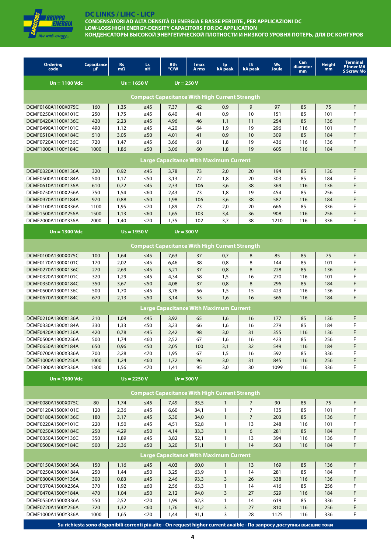

**CONDENSATORI AD ALTA DENSITÀ DI ENERGIA E BASSE PERDITE , PER APPLICAZIONI DC LOW-LOSS HIGH ENERGY-DENSITY CAPACITORS FOR DC APPLICATION КОНДЕНСАТОРЫ ВЫСОКОЙ ЭНЕРГЕТИЧЕСКОЙ ПЛОТНОСТИ И НИЗКОГО УРОВНЯ ПОТЕРЬ, ДЛЯ DC КОНТУРОВ**

| <b>Ordering</b><br>code                  | Capacitance<br>μF                                     | <b>Rs</b><br>$m\Omega$ | Ls.<br>nH              | Rth<br>°C/W  | l max<br>A rms | lp.<br>kA peak                                        | IS.<br>kA peak | Ws<br>Joule | Can<br>diameter<br>mm | <b>Height</b><br>mm | <b>Terminal</b><br><b>F</b> Inner M6<br><b>S Screw M6</b> |
|------------------------------------------|-------------------------------------------------------|------------------------|------------------------|--------------|----------------|-------------------------------------------------------|----------------|-------------|-----------------------|---------------------|-----------------------------------------------------------|
| Un = 1100 Vdc                            |                                                       |                        | $Us = 1650 V$          |              | $Ur = 250 V$   |                                                       |                |             |                       |                     |                                                           |
|                                          | <b>Compact Capacitance With High Current Strength</b> |                        |                        |              |                |                                                       |                |             |                       |                     |                                                           |
| DCMF0160A1100X075C                       | 160                                                   | 1,35                   | $\leq 45$              | 7,37         | 42             | 0,9                                                   | 9              | 97          | 85                    | 75                  | F                                                         |
| DCMF0250A1100X101C                       | 250                                                   | 1,75                   | ≤45                    | 6,40         | 41             | 0,9                                                   | 10             | 151         | 85                    | 101                 | F                                                         |
| DCMF0420A1100X136C                       | 420                                                   | 2,23                   | $\leq 45$              | 4,96         | 46             | 1,1                                                   | 11             | 254         | 85                    | 136                 | F                                                         |
| DCMF0490A1100Y101C                       | 490                                                   | 1,12                   | $\leq45$               | 4,20         | 64             | 1,9                                                   | 19             | 296         | 116                   | 101                 | F                                                         |
| DCMF0510A1100X184C                       | 510                                                   | 3,05                   | $\leq 50$              | 4,01         | 41             | 0,9                                                   | 10             | 309         | 85                    | 184                 | F                                                         |
| DCMF0720A1100Y136C                       | 720                                                   | 1,47                   | $\leq45$               | 3,66         | 61             | 1,8                                                   | 19             | 436         | 116                   | 136                 | F                                                         |
| DCMF1000A1100Y184C                       | 1000                                                  | 1,86                   | $\leq 50$              | 3,06         | 60             | 1,8                                                   | 19             | 605         | 116                   | 184                 | F                                                         |
|                                          |                                                       |                        |                        |              |                | <b>Large Capacitance With Maximum Current</b>         |                |             |                       |                     |                                                           |
| DCMF0320A1100X136A                       | 320                                                   | 0,92                   | $\leq 45$              | 3,78         | 73             | 2,0                                                   | 20             | 194         | 85                    | 136                 | F                                                         |
| DCMF0500A1100X184A                       | 500                                                   | 1,17                   | $\leq 50$              | 3,13         | 72             | 1,8                                                   | 20             | 303         | 85                    | 184                 | F                                                         |
| DCMF0610A1100Y136A                       | 610                                                   | 0,72                   | $\leq 45$              | 2,33         | 106            | 3,6                                                   | 38             | 369         | 116                   | 136                 | F                                                         |
| DCMF0750A1100X256A                       | 750                                                   | 1,54                   | $\leq 60$              | 2,43         | 73             | 1,8                                                   | 19             | 454         | 85                    | 256                 | F                                                         |
| DCMF0970A1100Y184A                       | 970                                                   | 0,88                   | $\leq 50$              | 1,98         | 106            | 3,6                                                   | 38             | 587         | 116                   | 184                 | F                                                         |
| DCMF1100A1100X336A                       | 1100                                                  | 1,95                   | $\leq 70$              | 1,89         | 73             | 2,0                                                   | 20             | 666         | 85                    | 336                 | F                                                         |
| DCMF1500A1100Y256A                       | 1500                                                  | 1,13                   | $≤60$                  | 1,65         | 103            | 3,4                                                   | 36             | 908         | 116                   | 256                 | F                                                         |
| DCMF2000A1100Y336A                       | 2000                                                  | 1,40                   | ≤70                    | 1,35         | 102            | 3,7                                                   | 38             | 1210        | 116                   | 336                 | F                                                         |
| <b>Un = 1300 Vdc</b>                     |                                                       |                        | $Us = 1950 V$          |              | $Ur = 300 V$   |                                                       |                |             |                       |                     |                                                           |
|                                          |                                                       |                        |                        |              |                | <b>Compact Capacitance With High Current Strength</b> |                |             |                       |                     |                                                           |
| DCMF0100A1300X075C                       | 100                                                   | 1,64                   | $\leq 45$              | 7,63         | 37             | 0,7                                                   | 8              | 85          | 85                    | 75                  | F                                                         |
| DCMF0170A1300X101C                       | 170                                                   | 2,02                   | $\leq$ 45              | 6,46         | 38             | 0,8                                                   | 8              | 144         | 85                    | 101                 | F                                                         |
| DCMF0270A1300X136C                       | 270                                                   | 2,69                   | $\leq 45$              | 5,21         | 37             | 0,8                                                   | 8              | 228         | 85                    | 136                 | F                                                         |
| DCMF0320A1300Y101C                       | 320                                                   | 1,29                   | $\leq45$               | 4,34         | 58             | 1,5                                                   | 16             | 270         | 116                   | 101                 | F                                                         |
| DCMF0350A1300X184C                       | 350                                                   | 3,67                   | $\leq 50$              | 4,08         | 37             | 0,8                                                   | 8              | 296         | 85                    | 184                 | F                                                         |
| DCMF0500A1300Y136C                       | 500                                                   | 1,70                   | $\leq45$               | 3,76         | 56             | 1,5                                                   | 15             | 423         | 116                   | 136                 | F                                                         |
| DCMF0670A1300Y184C                       | 670                                                   | 2,13                   | $\leq 50$              | 3,14         | 55             | 1,6                                                   | 16             | 566         | 116                   | 184                 | F                                                         |
|                                          |                                                       |                        |                        |              |                | <b>Large Capacitance With Maximum Current</b>         |                |             |                       |                     |                                                           |
| DCMF0210A1300X136A                       | 210                                                   | 1,04                   | $\leq 45$              | 3,92         | 65             | 1,6                                                   | 16             | 177         | 85                    | 136                 | F                                                         |
| DCMF0330A1300X184A                       | 330                                                   | 1,33                   | $\leq 50$              | 3,23         | 66             | 1,6                                                   | 16             | 279         | 85                    | 184                 | F                                                         |
| DCMF0420A1300Y136A                       | 420                                                   | 0,78                   | $\leq 45$              | 2,42         | 98             | 3,0                                                   | 31             | 355         | 116                   | 136                 | F                                                         |
| DCMF0500A1300X256A                       | 500                                                   | 1,74                   | $\leq 60$              | 2,52         | 67             | 1,6                                                   | 16             | 423         | 85                    | 256                 | F                                                         |
| DCMF0650A1300Y184A                       | 650                                                   | 0,96                   | $\leq 50$              | 2,05         | 100            | 3,1                                                   | 32             | 549         | 116                   | 184                 |                                                           |
| DCMF0700A1300X336A                       | 700                                                   | 2,28                   | $\leq 70$              | 1,95         | 67             | 1,5                                                   | 16             | 592         | 85                    | 336                 | F                                                         |
| DCMF1000A1300Y256A                       | 1000                                                  | 1,24                   | $\leq 60$              | 1,72         | 96             | 3,0                                                   | 31             | 845         | 116                   | 256                 | F                                                         |
| DCMF1300A1300Y336A                       | 1300                                                  | 1,56                   | ≤70                    | 1,41         | 95             | 3,0                                                   | 30             | 1099        | 116                   | 336                 | F                                                         |
| $Un = 1500$ Vdc                          |                                                       |                        | $Us = 2250 V$          |              | $Ur = 300 V$   |                                                       |                |             |                       |                     |                                                           |
|                                          |                                                       |                        |                        |              |                | <b>Compact Capacitance With High Current Strength</b> |                |             |                       |                     |                                                           |
| DCMF0080A1500X075C                       | 80                                                    | 1,74                   | $\leq 45$              | 7,49         | 35,5           | $\mathbf{1}$                                          | $\overline{7}$ | 90          | 85                    | 75                  | F                                                         |
| DCMF0120A1500X101C                       | 120                                                   | 2,36                   | $\leq$ 45              | 6,60         | 34,1           | 1                                                     | 7              | 135         | 85                    | 101                 | F                                                         |
| DCMF0180A1500X136C                       | 180                                                   | 3,17                   | $\leq45$               | 5,30         | 34,0           | $\mathbf{1}$                                          | $\overline{7}$ | 203         | 85                    | 136                 | F                                                         |
| DCMF0220A1500Y101C                       | 220                                                   | 1,50                   | ${\leq}45$             | 4,51         | 52,8           | 1                                                     | 13             | 248         | 116                   | 101                 | F                                                         |
| DCMF0250A1500X184C                       | 250                                                   | 4,29                   | $\leq 50$              | 4,14         | 33,3           | $\mathbf{1}$                                          | 6              | 281         | 85                    | 184                 | F                                                         |
| DCMF0350A1500Y136C                       | 350                                                   | 1,89                   | $\leq45$               | 3,82         | 52,1           | 1                                                     | 13             | 394         | 116                   | 136                 | F                                                         |
| DCMF0500A1500Y184C                       | 500                                                   | 2,36                   | ${\leq}50$             | 3,20         | 51,1           | 1                                                     | 14             | 563         | 116                   | 184                 | F                                                         |
|                                          |                                                       |                        |                        |              |                | <b>Large Capacitance With Maximum Current</b>         |                |             |                       |                     |                                                           |
| DCMF0150A1500X136A                       | 150                                                   | 1,16                   | $\leq45$               | 4,03         | 60,0           | $\mathbf{1}$                                          | 13             | 169         | 85                    | 136                 | F                                                         |
| DCMF0250A1500X184A                       | 250                                                   | 1,44                   | $\leq 50$              | 3,25         | 63,9           | 1                                                     | 14             | 281         | 85                    | 184                 | F                                                         |
| DCMF0300A1500Y136A                       | 300                                                   | 0,83                   | $\leq45$               | 2,46         | 93,3           | 3                                                     | $26$           | 338         | 116                   | 136                 | F                                                         |
| DCMF0370A1500X256A                       | 370                                                   | 1,92                   | $\leq 60$              | 2,56         | 63,3           | 1                                                     | 14             | 416         | 85                    | 256                 | F                                                         |
| DCMF0470A1500Y184A                       | 470                                                   | 1,04                   | $\leq 50$              | 2,12         | 94,0           | 3                                                     | 27             | 529         | 116                   | 184                 | F                                                         |
| DCMF0550A1500X336A<br>DCMF0720A1500Y256A | 550<br>720                                            | 2,52<br>1,32           | $\leq 70$<br>$\leq 60$ | 1,99<br>1,76 | 62,3<br>91,2   | 1                                                     | 14<br>$27$     | 619<br>810  | 85<br>116             | 336<br>256          | F<br>F                                                    |
| DCMF1000A1500Y336A                       | 1000                                                  | 1,65                   | ${\leq}70$             | 1,44         | 91,1           | 3<br>3                                                | 28             | 1125        | 116                   | 336                 | F                                                         |
|                                          |                                                       |                        |                        |              |                |                                                       |                |             |                       |                     |                                                           |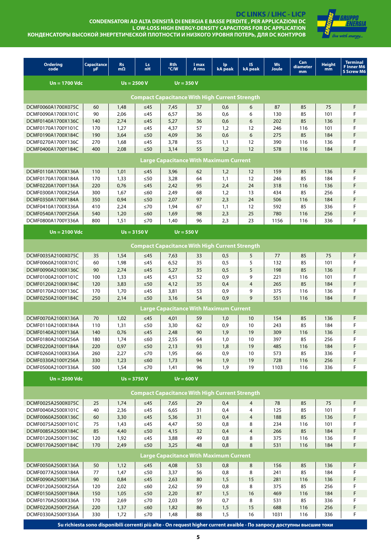

DC LINKS / LIHC - LICP<br>CONDENSATORI AD ALTA DENSITÀ DI ENERGIA E BASSE PERDITE , PER APPLICAZIONI DC L OW-LOSS HIGH ENERGY-DENSITY CAPACITORS FOR DC APPLICATION КОНДЕНСАТОРЫ ВЫСОКОЙ ЭНЕРГЕТИЧЕСКОЙ ПЛОТНОСТИ И НИЗКОГО УРОВНЯ ПОТЕРЬ, ДЛЯ DC КОНТУРОВ

| <b>Ordering</b><br>code                               | <b>Capacitance</b><br>μF                              | <b>Rs</b><br>$m\Omega$ | Ls.<br>nH               | <b>Rth</b><br>°C/W | I max<br>A rms                                        | lp<br>kA peak | IS.<br><b>kA</b> peak | <b>Ws</b><br>Joule | Can<br>diameter<br>mm | <b>Height</b><br>mm | <b>Terminal</b><br><b>F</b> Inner M6<br><b>S Screw M6</b> |  |
|-------------------------------------------------------|-------------------------------------------------------|------------------------|-------------------------|--------------------|-------------------------------------------------------|---------------|-----------------------|--------------------|-----------------------|---------------------|-----------------------------------------------------------|--|
| $Un = 1700$ Vdc                                       |                                                       |                        | $Us = 2500 V$           |                    | $Ur = 350V$                                           |               |                       |                    |                       |                     |                                                           |  |
|                                                       | <b>Compact Capacitance With High Current Strength</b> |                        |                         |                    |                                                       |               |                       |                    |                       |                     |                                                           |  |
| DCMF0060A1700X075C                                    | 60                                                    | 1,48                   | $\leq 45$               | 7,45               | 37                                                    | 0,6           | 6                     | 87                 | 85                    | 75                  | F                                                         |  |
| DCMF0090A1700X101C                                    | 90                                                    | 2,06                   | $\leq$ 45               | 6,57               | 36                                                    | 0,6           | 6                     | 130                | 85                    | 101                 | F                                                         |  |
| DCMF0140A1700X136C                                    | 140                                                   | 2,74                   | $\leq 45$               | 5,27               | 36                                                    | 0,6           | 6                     | 202                | 85                    | 136                 | F                                                         |  |
| DCMF0170A1700Y101C                                    | 170                                                   | 1,27                   | $\leq 45$               | 4,37               | 57                                                    | 1,2           | 12                    | 246                | 116                   | 101                 | F                                                         |  |
| DCMF0190A1700X184C                                    | 190                                                   | 3,64                   | $\leq 50$               | 4,09               | 36                                                    | 0,6           | 6                     | 275                | 85                    | 184                 | F                                                         |  |
| DCMF0270A1700Y136C                                    | 270                                                   | 1,68                   | $\leq$ 45               | 3,78               | 55                                                    | 1,1           | 12                    | 390                | 116                   | 136                 | F                                                         |  |
| DCMF0400A1700Y184C                                    | 400                                                   | 2,08                   | $\leq 50$               | 3,14               | 55                                                    | 1,2           | 12                    | 578                | 116                   | 184                 | F                                                         |  |
| <b>Large Capacitance With Maximum Current</b>         |                                                       |                        |                         |                    |                                                       |               |                       |                    |                       |                     |                                                           |  |
| DCMF0110A1700X136A                                    | 110                                                   | 1,01                   | $\leq 45$               | 3,96               | 62                                                    | 1,2           | 12                    | 159                | 85                    | 136                 | F                                                         |  |
| DCMF0170A1700X184A                                    | 170                                                   | 1,33                   | $\leq 50$               | 3,28               | 64                                                    | 1,1           | 12                    | 246                | 85                    | 184                 | F                                                         |  |
| DCMF0220A1700Y136A                                    | 220                                                   | 0,76                   | $\leq 45$               | 2,42               | 95                                                    | 2,4           | 24                    | 318                | 116                   | 136                 | F                                                         |  |
| DCMF0300A1700X256A                                    | 300                                                   | 1,67                   | $\leq 60$               | 2,49               | 68                                                    | 1,2           | 13                    | 434                | 85                    | 256                 | F                                                         |  |
| DCMF0350A1700Y184A                                    | 350                                                   | 0,94                   | $\leq 50$               | 2,07               | 97                                                    | 2,3           | 24                    | 506                | 116                   | 184                 | F                                                         |  |
| DCMF0410A1700X336A                                    | 410                                                   | 2,24                   | ≤70                     | 1,94               | 67                                                    | 1,1           | 12                    | 592                | 85                    | 336                 | F                                                         |  |
| DCMF0540A1700Y256A                                    | 540                                                   | 1,20                   | $≤60$                   | 1,69               | 98                                                    | 2,3           | 25                    | 780                | 116                   | 256                 | F                                                         |  |
| DCMF0800A1700Y336A                                    | 800                                                   | 1,51                   | $\leq 70$               | 1,40               | 96                                                    | 2,3           | 23                    | 1156               | 116                   | 336                 | F                                                         |  |
| $Un = 2100$ Vdc                                       |                                                       | $Us = 3150 V$          |                         |                    | $Ur = 550V$                                           |               |                       |                    |                       |                     |                                                           |  |
| <b>Compact Capacitance With High Current Strength</b> |                                                       |                        |                         |                    |                                                       |               |                       |                    |                       |                     |                                                           |  |
| DCMF0035A2100X075C                                    | 35                                                    | 1,54                   | $\leq$ 45               | 7,63               | 33                                                    | 0,5           | 5                     | 77                 | 85                    | 75                  | F                                                         |  |
| DCMF0060A2100X101C                                    | 60                                                    | 1,98                   | $\leq$ 45               | 6,52               | 35                                                    | 0,5           | 5                     | 132                | 85                    | 101                 | F                                                         |  |
| DCMF0090A2100X136C                                    | 90                                                    | 2,74                   | $\leq 45$               | 5,27               | 35                                                    | 0,5           | 5                     | 198                | 85                    | 136                 | F                                                         |  |
| DCMF0100A2100Y101C                                    | 100                                                   | 1,33                   | $\leq$ 45               | 4,51               | 52                                                    | 0,9           | 9                     | 221                | 116                   | 101                 | F                                                         |  |
| DCMF0120A2100X184C                                    | 120                                                   | 3,83                   | $\leq 50$               | 4,12               | 35                                                    | 0,4           | $\overline{4}$        | 265                | 85                    | 184                 | F                                                         |  |
| DCMF0170A2100Y136C                                    | 170                                                   | 1,70                   | $\leq$ 45               | 3,81               | 53                                                    | 0,9           | 9                     | 375                | 116                   | 136                 | F                                                         |  |
| DCMF0250A2100Y184C                                    | 250                                                   | 2,14                   | $\leq 50$               | 3,16               | 54                                                    | 0.9           | $\mathsf{Q}$          | 551                | 116                   | 184                 | F                                                         |  |
|                                                       |                                                       |                        |                         |                    | <b>Large Capacitance With Maximum Current</b>         |               |                       |                    |                       |                     |                                                           |  |
| DCMF0070A2100X136A                                    | 70                                                    | 1,02                   | $\leq 45$               | 4,01               | 59                                                    | 1,0           | 10                    | 154                | 85                    | 136                 | F                                                         |  |
| DCMF0110A2100X184A                                    | 110                                                   | 1,31                   | $\leq 50$               | 3,30               | 62                                                    | 0,9           | 10                    | 243                | 85                    | 184                 | F                                                         |  |
| DCMF0140A2100Y136A                                    | 140                                                   | 0,76                   | $\leq 45$               | 2,48               | 90                                                    | 1,9           | 19                    | 309                | 116                   | 136                 | F                                                         |  |
| DCMF0180A2100X256A                                    | 180                                                   | 1,74                   | ≤60                     | 2,55               | 64                                                    | 1,0           | 10                    | 397                | 85                    | 256                 | F                                                         |  |
| DCMF0220A2100Y184A                                    | 220                                                   | 0,97                   | $\leq 50$               | 2,13               | 93                                                    | 1,8           | 19                    | 485                | 116                   | 184                 | F                                                         |  |
| DCMF0260A2100X336A                                    | 260                                                   | 2,27                   | $\leq 70$               | 1,95               | 66                                                    | 0,9           | 10                    | 573                | 85                    | 336                 | F                                                         |  |
| DCMF0330A2100Y256A                                    | 330                                                   | 1,23                   | $\leq 60$               | 1,73               | 94                                                    | 1,9           | 19                    | 728                | 116                   | 256                 | F                                                         |  |
| DCMF0500A2100Y336A                                    | 500                                                   | 1,54                   | $\leq 70$               | 1,41               | 96                                                    | 1,9           | 19                    | 1103               | 116                   | 336                 | F                                                         |  |
| $Un = 2500$ Vdc                                       |                                                       | $Us = 3750V$           |                         |                    | $Ur = 600 V$                                          |               |                       |                    |                       |                     |                                                           |  |
|                                                       |                                                       |                        |                         |                    | <b>Compact Capacitance With High Current Strength</b> |               |                       |                    |                       |                     |                                                           |  |
| DCMF0025A2500X075C                                    | 25                                                    | 1,74                   | $\leq 45$               | 7,65               | 29                                                    | 0,4           | 4                     | 78                 | 85                    | 75                  | F                                                         |  |
| DCMF0040A2500X101C                                    | 40                                                    | 2,36                   | ≤45                     | 6,65               | 31                                                    | 0,4           | 4                     | 125                | 85                    | 101                 | F                                                         |  |
| DCMF0060A2500X136C                                    | 60                                                    | 3,30                   | $\leq45$                | 5,36               | 31                                                    | 0,4           | $\overline{4}$        | 188                | 85                    | 136                 | F                                                         |  |
| DCMF0075A2500Y101C                                    | 75                                                    | 1,43                   | $\leq45$                | 4,47               | 50                                                    | 0,8           | 8                     | 234                | 116                   | 101                 | F                                                         |  |
| DCMF0085A2500X184C                                    | 85                                                    | 4,40                   | $\leq 50$               | 4,15               | 32                                                    | 0,4           | $\overline{4}$        | 266                | 85                    | 184                 | F                                                         |  |
| DCMF0120A2500Y136C                                    | 120                                                   | 1,92                   | $≤45$                   | 3,88               | 49                                                    | 0,8           | 8                     | 375                | 116                   | 136                 | F                                                         |  |
| DCMF0170A2500Y184C                                    | 170                                                   | 2,49                   | $\leq 50$               | 3,25               | 48                                                    | 0,8           | 8                     | 531                | 116                   | 184                 | F                                                         |  |
|                                                       |                                                       |                        |                         |                    | <b>Large Capacitance With Maximum Current</b>         |               |                       |                    |                       |                     |                                                           |  |
| DCMF0050A2500X136A                                    | 50                                                    | 1,12                   | $\leq45$                | 4,08               | 53                                                    | 0,8           | 8                     | 156                | 85                    | 136                 | F                                                         |  |
| DCMF0077A2500X184A                                    | 77                                                    | 1,47                   | $\leq 50$               | 3,37               | 56                                                    | 0,8           | 8                     | 241                | 85                    | 184                 | F                                                         |  |
| DCMF0090A2500Y136A                                    | 90                                                    | 0,84                   | $\leq45$                | 2,63               | 80                                                    | 1,5           | 15                    | 281                | 116                   | 136                 | F                                                         |  |
| DCMF0120A2500X256A                                    | 120                                                   | 2,02                   | $\leq 60$               | 2,62               | 59                                                    | 0,8           | 8                     | 375                | 85                    | 256                 | F                                                         |  |
| DCMF0150A2500Y184A                                    | 150                                                   | 1,05                   | ${\leq}50$              | 2,20               | 87                                                    | 1,5           | 16                    | 469                | 116                   | 184                 | F                                                         |  |
| DCMF0170A2500X336A                                    | 170<br>220                                            | 2,69                   | $\leq 70$               | 2,03               | 59                                                    | 0,7           | 8<br>15               | 531<br>688         | 85<br>116             | 336                 | F                                                         |  |
| DCMF0220A2500Y256A<br>DCMF0330A2500Y336A              | 330                                                   | 1,37<br>1,72           | $\leq 60$<br>${\leq}70$ | 1,82<br>1,48       | 86<br>88                                              | 1,5           | 16                    | 1031               | 116                   | 256<br>336          | F<br>F                                                    |  |
|                                                       |                                                       |                        |                         |                    |                                                       | 1,5           |                       |                    |                       |                     |                                                           |  |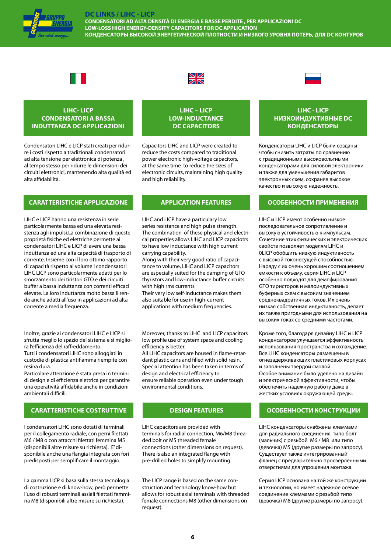

**CONDENSATORI AD ALTA DENSITÀ DI ENERGIA E BASSE PERDITE , PER APPLICAZIONI DC LOW-LOSS HIGH ENERGY-DENSITY CAPACITORS FOR DC APPLICATION КОНДЕНСАТОРЫ ВЫСОКОЙ ЭНЕРГЕТИЧЕСКОЙ ПЛОТНОСТИ И НИЗКОГО УРОВНЯ ПОТЕРЬ, ДЛЯ DC КОНТУРОВ**





### **LIHC- LICP CONDENSATORI A BASSA INDUTTANZA DC APPLICAZIONI**

Condensatori LIHC e LICP stati creati per ridurre i costi rispetto a tradizionali condensatori ad alta tensione per elettronica di potenza , al tempo stesso per ridurre le dimensioni dei circuiti elettronici, mantenendo alta qualità ed alta affidabilità.

### **CARATTERISTICHE APPLICAZIONE APPLICATION FEATURES ОСОБЕННОСТИ ПРИМЕНЕНИЯ**

LIHC e LICP hanno una resistenza in serie particolarmente bassa ed una elevata resistenza agli impulsi.La combinazione di queste proprietà fisiche ed elettriche permette ai condensatori LIHC e LICP di avere una bassa induttanza ed una alta capacità di trasporto di corrente. Insieme con il loro ottimo rapporto di capacità rispetto al volume i condensatori LIHC LICP sono particolarmente adatti per lo smorzamento dei tiristori GTO e dei circuiti buffer a bassa induttanza con correnti efficaci elevate. La loro induttanza molto bassa li rende anche adatti all'uso in applicazioni ad alta corrente a media frequenza.

Inoltre, grazie ai condensatori LIHC e LICP si sfrutta meglio lo spazio del sistema e si migliora l'efficienza del raffreddamento. Tutti i condensatori LIHC sono alloggiati in custodie di plastica antifiamma riempite con resina dura.

Particolare attenzione è stata presa in termini di design e di efficienza elettrica per garantire una operatività affidabile anche in condizioni ambientali difficili.

### **CARATTERISTICHE COSTRUTTIVE DESIGN FEATURES ОСОБЕННОСТИ КОНСТРУКЦИИ**

I condensatori LIHC sono dotati di terminali per il collegamento radiale, con perni filettati M6 / M8 o con attacchi filettati femmina M5 (disponibili altre misure su richiesta). E' disponibile anche una flangia integrata con fori predisposti per semplificare il montaggio.

La gamma LICP si basa sulla stessa tecnologia di costruzione e di know-how, però permette l'uso di robusti terminali assiali filettati femmina M8 (disponibili altre misure su richiesta).

# **LOW-INDUCTANCE DC CAPACITORS**

**LIHC – LICP** 

Capacitors LIHC and LICP were created to reduce the costs compared to traditional power electronic high-voltage capacitors, at the same time to reduce the sizes of electronic circuits, maintaining high quality and high reliability.

LIHC and LICP have a particulary low series resistance and high pulse strength. The combination of these physical and electrical properties allows LIHC and LICP capaciotrs to have low inductance with high current carrying capability.

Along with their very good ratio of capacitance to volume, LIHC and LICP capacitors are especially suited for the damping of GTO thyristors and low-inductance buffer circuits with high rms currents.

Their very low self-inductance makes them also suitable for use in high-current applications with medium frequencies.

Moreover, thanks to LIHC and LICP capacitors low profile use of system space and cooling efficiency is better.

All LIHC capacitors are housed in flame-retardant plastic cans and filled with solid resin. Special attention has been taken in terms of design and electrical efficiency to ensure reliable operation even under tough environmental conditions.

LIHC capacitors are provided with terminals for radial connection, M6/M8 threaded bolt or M5 threaded female connections (other dimensions on request). There is also an integrated flange with pre-drilled holes to simplify mounting.

The LICP range is based on the same construction and technology know-how but allows for robust axial terminals with threaded female connections M8 (other dimensions on request).

### **LIHC - LICP НИЗКОИНДУКТИВНЫЕ DC КОНДЕНСАТОРЫ**

Конденсаторы LIHC и LICP были созданы чтобы снизить затраты по сравнению с традиционными высоковольтными конденсаторами для силовой электроники и также для уменьшения габаритов электронных схем, сохраняя высокое качество и высокую надежность.

LIHC и LICP имеют особенно низкое последовательное сопротивление и высокую устойчивостью к импульсам. Сочетание этих физических и электрических свойств позволяет моделям LIHC и 0LICP обобщить низкую индуктивность с высокой токонесущей способностью. Наряду с их очень хорошим соотношением емкости к объему, серия LIHC и LICP особенно подходят для демпфирования GTO тиристоров и малоиндуктивных буферных схем с высоким значением среднеквадратичных токов. Их очень низкая собственная индуктивность, делает их также пригодными для использования на высоких токах со средними частотами.

Кроме того, благодаря дизайну LIHC и LICP конденсаторов улучшается эффективность использования пространства и охлаждение. Все LIHC конденсаторы размещены в огнезадерживающих пластиковых корпусах и заполнены твердой смолой. Особое внимание было уделено на дизайн и электрической эффективности, чтобы обеспечить надежную работу даже в жестких условиях окружающей среды.

LIHC конденсаторы снабжены клеммами для радиального соединения, типо болт (мальчик) с резьбой M6 / M8 или типо (девочка) M5 (другие размеры по запросу). Существует также интегрированный фланец с предварительно просверленными отверстиями для упрощения монтажа.

Серия LICP основана на той же конструкции и технологии, но имеет надежное осевое соединение клеммами с резьбой типо (девочка) М8 (другие размеры по запросу).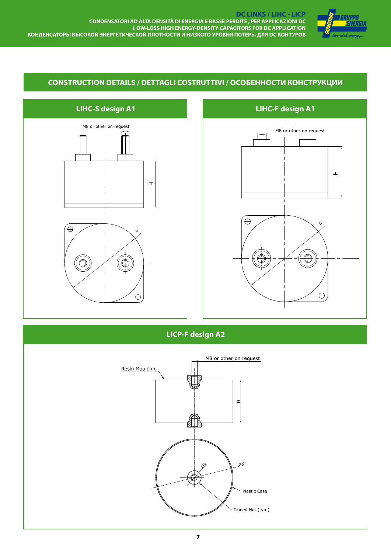

# **CONSTRUCTION DETAILS / DETTAGLI COSTRUTTIVI / ОСОБЕННОСТИ КОНСТРУКЦИИ**



# **LIHC-S design A1**



**LICP-F design A2** 

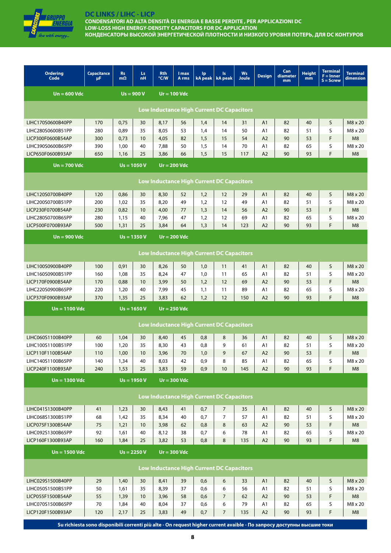| live with energy… |
|-------------------|

**CONDENSATORI AD ALTA DENSITÀ DI ENERGIA E BASSE PERDITE , PER APPLICAZIONI DC LOW-LOSS HIGH ENERGY-DENSITY CAPACITORS FOR DC APPLICATION КОНДЕНСАТОРЫ ВЫСОКОЙ ЭНЕРГЕТИЧЕСКОЙ ПЛОТНОСТИ И НИЗКОГО УРОВНЯ ПОТЕРЬ, ДЛЯ DC КОНТУРОВ**

| <b>Ordering</b><br>Code                | <b>Capacitance</b><br>μF                                                                                              | <b>Rs</b><br>$m\Omega$ | Ls:<br><b>nH</b> | <b>Rth</b><br>°C/W | I max<br>A rms | <b>lp</b><br>kA peak                             | <b>Is</b><br>kA peak | <b>Ws</b><br><b>Joule</b> | <b>Design</b>        | Can<br>diameter<br>mm | <b>Height</b><br>mm | <b>Terminal</b><br>$F =$ Inner<br>$S =$ Screw | <b>Terminal</b><br>dimension |
|----------------------------------------|-----------------------------------------------------------------------------------------------------------------------|------------------------|------------------|--------------------|----------------|--------------------------------------------------|----------------------|---------------------------|----------------------|-----------------------|---------------------|-----------------------------------------------|------------------------------|
| $Un = 600$ Vdc                         |                                                                                                                       |                        | $Us = 900 V$     |                    | $Ur = 100$ Vdc |                                                  |                      |                           |                      |                       |                     |                                               |                              |
|                                        |                                                                                                                       |                        |                  |                    |                | <b>Low Inductance High Current DC Capacitors</b> |                      |                           |                      |                       |                     |                                               |                              |
|                                        |                                                                                                                       |                        |                  |                    |                |                                                  |                      |                           |                      |                       |                     |                                               |                              |
| LIHC170S0600B40PP                      | 170                                                                                                                   | 0,75                   | 30               | 8,17               | 56             | 1,4                                              | 14                   | 31                        | A1                   | 82                    | 40                  | S                                             | M8 x 20                      |
| LIHC280S0600B51PP                      | 280                                                                                                                   | 0,89                   | 35               | 8,05               | 53             | 1,4                                              | 14                   | 50                        | A1                   | 82                    | 51                  | S<br>F.                                       | M8 x 20                      |
| LICP300F0600B54AP<br>LIHC390S0600B65PP | 300<br>390                                                                                                            | 0,73<br>1,00           | 10<br>40         | 4,05<br>7,88       | 82<br>50       | 1,5<br>1,5                                       | 15<br>14             | 54<br>70                  | A2<br>A <sub>1</sub> | 90<br>82              | 53<br>65            | S                                             | M8<br>M8 x 20                |
| LICP650F0600B93AP                      | 650                                                                                                                   | 1,16                   | 25               | 3,86               | 66             | 1,5                                              | 15                   | 117                       | A2                   | 90                    | 93                  | F                                             | M <sub>8</sub>               |
|                                        |                                                                                                                       |                        |                  |                    |                |                                                  |                      |                           |                      |                       |                     |                                               |                              |
| $Un = 700$ Vdc                         |                                                                                                                       |                        | $Us = 1050 V$    |                    | $Ur = 200$ Vdc |                                                  |                      |                           |                      |                       |                     |                                               |                              |
|                                        | <b>Low Inductance High Current DC Capacitors</b>                                                                      |                        |                  |                    |                |                                                  |                      |                           |                      |                       |                     |                                               |                              |
| LIHC120S0700B40PP                      | 120                                                                                                                   | 0,86                   | 30               | 8,30               | 52             | 1,2                                              | 12                   | 29                        | A <sub>1</sub>       | 82                    | 40                  | S                                             | M8 x 20                      |
| LIHC200S0700B51PP                      | 200                                                                                                                   | 1,02                   | 35               | 8,20               | 49             | 1,2                                              | 12                   | 49                        | A1                   | 82                    | 51                  | S                                             | M8 x 20                      |
| LICP230F0700B54AP                      | 230                                                                                                                   | 0,82                   | 10               | 4,00               | 77             | 1,3                                              | 14                   | 56                        | A <sub>2</sub>       | 90                    | 53                  | F.                                            | M8                           |
| LIHC280S0700B65PP                      | 280                                                                                                                   | 1,15                   | 40               | 7,96               | 47             | 1,2                                              | 12                   | 69                        | A1                   | 82                    | 65                  | S                                             | M8 x 20                      |
| LICP500F0700B93AP                      | 500                                                                                                                   | 1,31                   | 25               | 3,84               | 64             | 1,3                                              | 14                   | 123                       | A <sub>2</sub>       | 90                    | 93                  | F                                             | M8                           |
| $Un = 900$ Vdc                         |                                                                                                                       |                        | $Us = 1350 V$    |                    | $Ur = 200$ Vdc |                                                  |                      |                           |                      |                       |                     |                                               |                              |
|                                        |                                                                                                                       |                        |                  |                    |                |                                                  |                      |                           |                      |                       |                     |                                               |                              |
|                                        |                                                                                                                       |                        |                  |                    |                | <b>Low Inductance High Current DC Capacitors</b> |                      |                           |                      |                       |                     |                                               |                              |
| LIHC100S0900B40PP                      | 100                                                                                                                   | 0,91                   | 30               | 8,26               | 50             | 1,0                                              | 11                   | 41                        | A1                   | 82                    | 40                  | S                                             | M8 x 20                      |
| LIHC160S0900B51PP                      | 160                                                                                                                   | 1,08                   | 35               | 8,24               | 47             | 1,0                                              | 11                   | 65                        | A1                   | 82                    | 51                  | S                                             | $M8 \times 20$               |
| LICP170F0900B54AP                      | 170                                                                                                                   | 0,88                   | 10               | 3,99               | 50             | 1,2                                              | 12                   | 69                        | A2                   | 90                    | 53                  | F.                                            | M <sub>8</sub>               |
| LIHC220S0900B65PP                      | 220                                                                                                                   | 1,20                   | 40               | 7,99               | 45             | 1,1                                              | 11                   | 89                        | A1                   | 82                    | 65                  | S                                             | M8 x 20                      |
| LICP370F0900B93AP                      | 370                                                                                                                   | 1,35                   | 25               | 3,83               | 62             | 1,2                                              | 12                   | 150                       | A2                   | 90                    | 93                  | F                                             | M <sub>8</sub>               |
| $Un = 1100$ Vdc                        |                                                                                                                       |                        | $Us = 1650 V$    |                    | $Ur = 250$ Vdc |                                                  |                      |                           |                      |                       |                     |                                               |                              |
|                                        |                                                                                                                       |                        |                  |                    |                | <b>Low Inductance High Current DC Capacitors</b> |                      |                           |                      |                       |                     |                                               |                              |
|                                        |                                                                                                                       |                        |                  |                    |                |                                                  |                      |                           |                      |                       |                     |                                               |                              |
| LIHC060S1100B40PP<br>LIHC100S1100B51PP | 60                                                                                                                    | 1,04                   | 30               | 8,40               | 45             | 0,8                                              | 8                    | 36                        | A <sub>1</sub>       | 82                    | 40                  | S                                             | M8 x 20                      |
| LICP110F1100B54AP                      | 100<br>110                                                                                                            | 1,20<br>1,00           | 35<br>10         | 8,30<br>3,96       | 43<br>70       | 0.8<br>1,0                                       | 9<br>9               | 61<br>67                  | A <sub>1</sub><br>A2 | 82<br>90              | 51<br>53            | S<br>F                                        | M8 x 20<br>M <sub>8</sub>    |
| LIHC140S1100B65PP                      | 140                                                                                                                   | 1,34                   | 40               | 8,03               | 42             | 0,9                                              | 8                    | 85                        | A1                   | 82                    | 65                  | S                                             | M8 x 20                      |
| LICP240F1100B93AP                      | 240                                                                                                                   | 1,53                   | 25               | 3,83               | 59             | 0,9                                              | 10                   | 145                       | A2                   | 90                    | 93                  | F                                             | M <sub>8</sub>               |
| $Un = 1300$ Vdc                        |                                                                                                                       |                        | $Us = 1950 V$    |                    | $Ur = 300$ Vdc |                                                  |                      |                           |                      |                       |                     |                                               |                              |
|                                        |                                                                                                                       |                        |                  |                    |                |                                                  |                      |                           |                      |                       |                     |                                               |                              |
|                                        |                                                                                                                       |                        |                  |                    |                | <b>Low Inductance High Current DC Capacitors</b> |                      |                           |                      |                       |                     |                                               |                              |
| LIHC041S1300B40PP                      | 41                                                                                                                    | 1,23                   | 30               | 8,43               | 41             | 0,7                                              | $\overline{7}$       | 35                        | A1                   | 82                    | 40                  | S                                             | M8 x 20                      |
| LIHC068S1300B51PP                      | 68                                                                                                                    | 1,42                   | 35               | 8,34               | 40             | 0,7                                              | $\overline{7}$       | 57                        | A1                   | 82                    | 51                  | S                                             | M8 x 20                      |
| LICP075F1300B54AP                      | 75                                                                                                                    | 1,21                   | 10               | 3,98               | 62             | 0,8                                              | 8                    | 63                        | A2                   | 90                    | 53                  | F                                             | M <sub>8</sub>               |
| LIHC092S1300B65PP                      | 92                                                                                                                    | 1,61                   | 40               | 8,12               | 38             | 0,7                                              | 6                    | 78                        | A1                   | 82                    | 65                  | S                                             | M8 x 20                      |
| LICP160F1300B93AP                      | 160                                                                                                                   | 1,84                   | 25               | 3,82               | 53             | 0,8                                              | 8                    | 135                       | A2                   | 90                    | 93                  | F                                             | M <sub>8</sub>               |
| $Un = 1500$ Vdc                        |                                                                                                                       |                        | $Us = 2250 V$    |                    | $Ur = 300$ Vdc |                                                  |                      |                           |                      |                       |                     |                                               |                              |
|                                        |                                                                                                                       |                        |                  |                    |                | <b>Low Inductance High Current DC Capacitors</b> |                      |                           |                      |                       |                     |                                               |                              |
|                                        |                                                                                                                       |                        |                  |                    |                |                                                  |                      |                           |                      |                       |                     |                                               |                              |
| LIHC029S1500B40PP                      | 29                                                                                                                    | 1,40                   | 30               | 8,41               | 39             | 0,6                                              | 6                    | 33                        | A1                   | 82                    | 40                  | S                                             | M8 x 20                      |
| LIHC050S1500B51PP                      | 50                                                                                                                    | 1,61                   | 35               | 8,39               | 37             | 0,6                                              | 6                    | 56                        | A1                   | 82                    | 51                  | S                                             | M8 x 20                      |
| LICP055F1500B54AP                      | 55                                                                                                                    | 1,39                   | 10               | 3,96               | 58             | 0,6                                              | $\overline{7}$       | 62                        | A2                   | 90                    | 53                  | F.                                            | M <sub>8</sub>               |
| LIHC070S1500B65PP<br>LICP120F1500B93AP | 70<br>120                                                                                                             | 1,84<br>2,17           | 40<br>25         | 8,04<br>3,83       | 37<br>49       | 0,6<br>0,7                                       | 6<br>$\overline{7}$  | 79<br>135                 | A <sub>1</sub><br>A2 | 82<br>90              | 65<br>93            | S<br>F                                        | M8 x 20<br>M8                |
|                                        |                                                                                                                       |                        |                  |                    |                |                                                  |                      |                           |                      |                       |                     |                                               |                              |
|                                        | Su richiesta sono disponibili correnti più alte - On request higher current avaible - По запросу доступны высшие токи |                        |                  |                    |                |                                                  |                      |                           |                      |                       |                     |                                               |                              |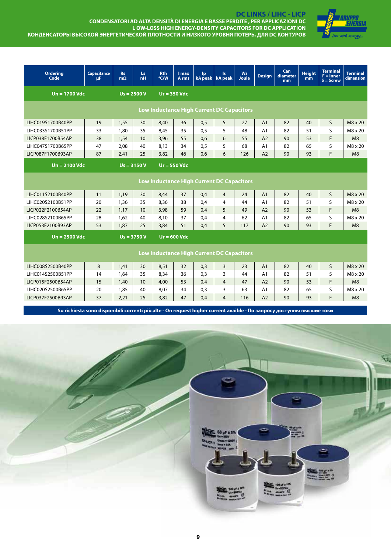

**DC LINKS / LIHC - LICP CONDENSATORI AD ALTA DENSITÀ DI ENERGIA E BASSE PERDITE , PER APPLICAZIONI DC L OW-LOSS HIGH ENERGY-DENSITY CAPACITORS FOR DC APPLICATION КОНДЕНСАТОРЫ ВЫСОКОЙ ЭНЕРГЕТИЧЕСКОЙ ПЛОТНОСТИ И НИЗКОГО УРОВНЯ ПОТЕРЬ, ДЛЯ DC КОНТУРОВ**

| <b>Ordering</b><br>Code | <b>Capacitance</b><br>μF.                        | <b>Rs</b><br>$m\Omega$ | Ls.<br>nH     | <b>Rth</b><br>$\degree$ C/W | I max<br>A rms | Ip                                               | Is.<br>kA peak   kA peak | <b>Ws</b><br>Joule | <b>Desian</b>  | Can<br>diameter<br>mm | <b>Height</b><br>mm | <b>Terminal</b><br>$F =$ Inner<br>$S =$ Screw | <b>Terminal</b><br>dimension |
|-------------------------|--------------------------------------------------|------------------------|---------------|-----------------------------|----------------|--------------------------------------------------|--------------------------|--------------------|----------------|-----------------------|---------------------|-----------------------------------------------|------------------------------|
| $Un = 1700$ Vdc         |                                                  |                        | $Us = 2500 V$ |                             | $Ur = 350$ Vdc |                                                  |                          |                    |                |                       |                     |                                               |                              |
|                         |                                                  |                        |               |                             |                | <b>Low Inductance High Current DC Capacitors</b> |                          |                    |                |                       |                     |                                               |                              |
| LIHC019S1700B40PP       | 19                                               | 1,55                   | 30            | 8,40                        | 36             | 0,5                                              | 5                        | 27                 | A <sub>1</sub> | 82                    | 40                  | S                                             | $M8 \times 20$               |
| LIHC033S1700B51PP       | 33                                               | 1,80                   | 35            | 8,45                        | 35             | 0.5                                              | 5                        | 48                 | A <sub>1</sub> | 82                    | 51                  | $\mathsf{S}$                                  | M8 x 20                      |
| LICP038F1700B54AP       | 38                                               | 1,54                   | 10            | 3,96                        | 55             | 0.6                                              | 6                        | 55                 | A2             | 90                    | 53                  | F                                             | M8                           |
| LIHC047S1700B65PP       | 47                                               | 2,08                   | 40            | 8,13                        | 34             | 0,5                                              | 5                        | 68                 | A1             | 82                    | 65                  | S                                             | M8 x 20                      |
| LICP087F1700B93AP       | 87                                               | 2.41                   | 25            | 3,82                        | 46             | 0.6                                              | 6                        | 126                | A2             | 90                    | 93                  | F                                             | M8                           |
| $Un = 2100$ Vdc         |                                                  |                        | $Us = 3150 V$ |                             | $Ur = 550$ Vdc |                                                  |                          |                    |                |                       |                     |                                               |                              |
|                         | Low Inductance High Current DC Capacitors        |                        |               |                             |                |                                                  |                          |                    |                |                       |                     |                                               |                              |
| LIHC011S2100B40PP       | 11                                               | 1.19                   | 30            | 8.44                        | 37             | 0.4                                              | $\overline{4}$           | 24                 | A1             | 82                    | 40                  | S                                             | M8 x 20                      |
| LIHC020S2100B51PP       | 20                                               | 1,36                   | 35            | 8,36                        | 38             | 0.4                                              | $\overline{4}$           | 44                 | A1             | 82                    | 51                  | S                                             | M8 x 20                      |
| LICP022F2100B54AP       | 22                                               | 1.17                   | 10            | 3,98                        | 59             | 0.4                                              | 5                        | 49                 | A2             | 90                    | 53                  | F.                                            | M8                           |
| LIHC028S2100B65PP       | 28                                               | 1,62                   | 40            | 8,10                        | 37             | 0.4                                              | $\overline{4}$           | 62                 | A1             | 82                    | 65                  | S                                             | M8 x 20                      |
| LICP053F2100B93AP       | 53                                               | 1.87                   | 25            | 3,84                        | 51             | 0.4                                              | 5                        | 117                | A2             | 90                    | 93                  | F                                             | M8                           |
| $Un = 2500$ Vdc         |                                                  |                        | $Us = 3750 V$ |                             | $Ur = 600$ Vdc |                                                  |                          |                    |                |                       |                     |                                               |                              |
|                         | <b>Low Inductance High Current DC Capacitors</b> |                        |               |                             |                |                                                  |                          |                    |                |                       |                     |                                               |                              |
| LIHC008S2500B40PP       | 8                                                | 1.41                   | 30            | 8,51                        | 32             | 0.3                                              | 3                        | 23                 | A1             | 82                    | 40                  | S                                             | $M8 \times 20$               |
| LIHC014S2500B51PP       | 14                                               | 1.64                   | 35            | 8,34                        | 36             | 0.3                                              | 3                        | 44                 | A1             | 82                    | 51                  | S                                             | M8 x 20                      |
| LICP015F2500B54AP       | 15                                               | 1,40                   | 10            | 4,00                        | 53             | 0.4                                              | $\overline{4}$           | 47                 | A2             | 90                    | 53                  | F                                             | M8                           |
| LIHC020S2500B65PP       | 20                                               | 1,85                   | 40            | 8,07                        | 34             | 0,3                                              | 3                        | 63                 | A1             | 82                    | 65                  | S                                             | $M8 \times 20$               |
| LICP037F2500B93AP       | 37                                               | 2,21                   | 25            | 3,82                        | 47             | 0,4                                              | $\overline{4}$           | 116                | A2             | 90                    | 93                  | F                                             | M8                           |